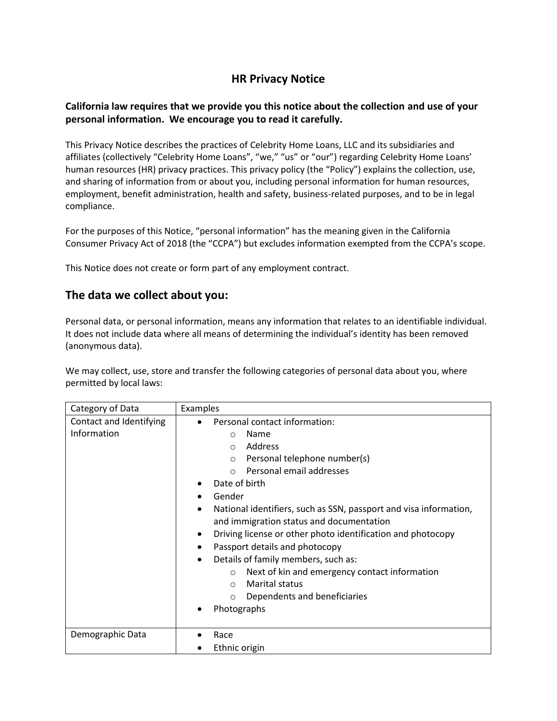# **HR Privacy Notice**

### **California law requires that we provide you this notice about the collection and use of your personal information. We encourage you to read it carefully.**

This Privacy Notice describes the practices of Celebrity Home Loans, LLC and its subsidiaries and affiliates (collectively "Celebrity Home Loans", "we," "us" or "our") regarding Celebrity Home Loans' human resources (HR) privacy practices. This privacy policy (the "Policy") explains the collection, use, and sharing of information from or about you, including personal information for human resources, employment, benefit administration, health and safety, business-related purposes, and to be in legal compliance.

For the purposes of this Notice, "personal information" has the meaning given in the California Consumer Privacy Act of 2018 (the "CCPA") but excludes information exempted from the CCPA's scope.

This Notice does not create or form part of any employment contract.

### **The data we collect about you:**

Personal data, or personal information, means any information that relates to an identifiable individual. It does not include data where all means of determining the individual's identity has been removed (anonymous data).

We may collect, use, store and transfer the following categories of personal data about you, where permitted by local laws:

| Category of Data                       | <b>Examples</b>                                                                                                                                                                                                                                                                                                                                                                                                                                                                                                                                                                                                                                                  |
|----------------------------------------|------------------------------------------------------------------------------------------------------------------------------------------------------------------------------------------------------------------------------------------------------------------------------------------------------------------------------------------------------------------------------------------------------------------------------------------------------------------------------------------------------------------------------------------------------------------------------------------------------------------------------------------------------------------|
| Contact and Identifying<br>Information | Personal contact information:<br>$\bullet$<br>Name<br>$\circ$<br>Address<br>$\circ$<br>Personal telephone number(s)<br>$\circ$<br>Personal email addresses<br>$\Omega$<br>Date of birth<br>Gender<br>National identifiers, such as SSN, passport and visa information,<br>$\bullet$<br>and immigration status and documentation<br>Driving license or other photo identification and photocopy<br>٠<br>Passport details and photocopy<br>$\bullet$<br>Details of family members, such as:<br>$\bullet$<br>Next of kin and emergency contact information<br>$\circ$<br><b>Marital status</b><br>$\circ$<br>Dependents and beneficiaries<br>$\circ$<br>Photographs |
| Demographic Data                       | Race<br>Ethnic origin                                                                                                                                                                                                                                                                                                                                                                                                                                                                                                                                                                                                                                            |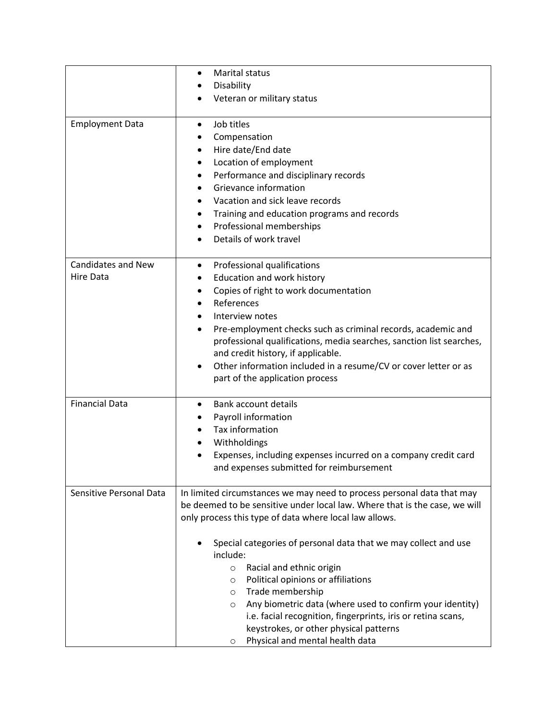|                           | Marital status<br>٠                                                         |
|---------------------------|-----------------------------------------------------------------------------|
|                           | Disability                                                                  |
|                           | Veteran or military status                                                  |
|                           |                                                                             |
| <b>Employment Data</b>    | Job titles<br>$\bullet$                                                     |
|                           | Compensation                                                                |
|                           | Hire date/End date<br>$\bullet$                                             |
|                           | Location of employment<br>٠                                                 |
|                           | Performance and disciplinary records<br>٠                                   |
|                           | Grievance information<br>$\bullet$                                          |
|                           | Vacation and sick leave records<br>$\bullet$                                |
|                           | Training and education programs and records<br>٠                            |
|                           | Professional memberships<br>٠                                               |
|                           | Details of work travel                                                      |
|                           |                                                                             |
| <b>Candidates and New</b> | Professional qualifications<br>$\bullet$                                    |
| Hire Data                 | Education and work history<br>٠                                             |
|                           | Copies of right to work documentation<br>٠                                  |
|                           | References<br>$\bullet$                                                     |
|                           | Interview notes<br>$\bullet$                                                |
|                           | Pre-employment checks such as criminal records, academic and<br>$\bullet$   |
|                           | professional qualifications, media searches, sanction list searches,        |
|                           | and credit history, if applicable.                                          |
|                           | Other information included in a resume/CV or cover letter or as             |
|                           | part of the application process                                             |
|                           |                                                                             |
| <b>Financial Data</b>     | <b>Bank account details</b><br>$\bullet$                                    |
|                           | Payroll information                                                         |
|                           | Tax information                                                             |
|                           | Withholdings<br>$\bullet$                                                   |
|                           | Expenses, including expenses incurred on a company credit card              |
|                           | and expenses submitted for reimbursement                                    |
|                           |                                                                             |
| Sensitive Personal Data   | In limited circumstances we may need to process personal data that may      |
|                           | be deemed to be sensitive under local law. Where that is the case, we will  |
|                           | only process this type of data where local law allows.                      |
|                           |                                                                             |
|                           | Special categories of personal data that we may collect and use<br>include: |
|                           |                                                                             |
|                           | Racial and ethnic origin<br>$\circ$<br>Political opinions or affiliations   |
|                           | $\circ$                                                                     |
|                           | Trade membership<br>$\circ$                                                 |
|                           | Any biometric data (where used to confirm your identity)<br>$\circ$         |
|                           | i.e. facial recognition, fingerprints, iris or retina scans,                |
|                           | keystrokes, or other physical patterns                                      |
|                           | Physical and mental health data<br>$\circ$                                  |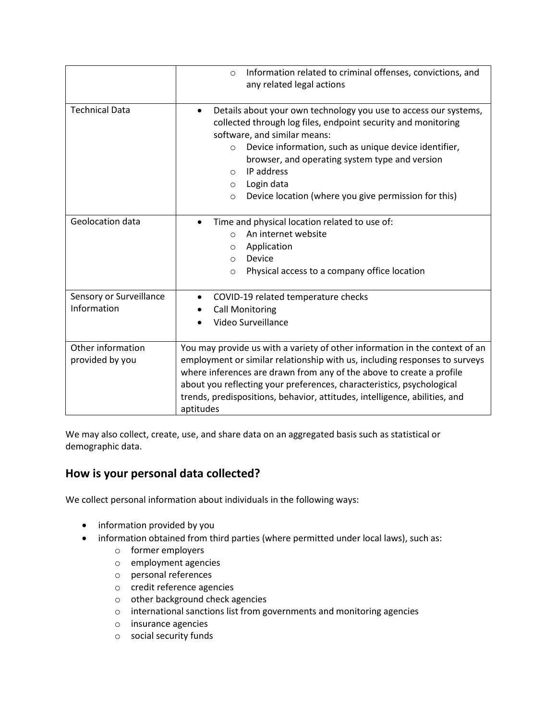|                                        | Information related to criminal offenses, convictions, and<br>$\circ$<br>any related legal actions                                                                                                                                                                                                                                                                                                                   |
|----------------------------------------|----------------------------------------------------------------------------------------------------------------------------------------------------------------------------------------------------------------------------------------------------------------------------------------------------------------------------------------------------------------------------------------------------------------------|
| <b>Technical Data</b>                  | Details about your own technology you use to access our systems,<br>٠<br>collected through log files, endpoint security and monitoring<br>software, and similar means:<br>Device information, such as unique device identifier,<br>$\circ$<br>browser, and operating system type and version<br>IP address<br>$\bigcirc$<br>Login data<br>$\circ$<br>Device location (where you give permission for this)<br>$\circ$ |
| Geolocation data                       | Time and physical location related to use of:<br>An internet website<br>$\circ$<br>Application<br>$\circ$<br>Device<br>$\circ$<br>Physical access to a company office location<br>$\circ$                                                                                                                                                                                                                            |
| Sensory or Surveillance<br>Information | COVID-19 related temperature checks<br><b>Call Monitoring</b><br>Video Surveillance                                                                                                                                                                                                                                                                                                                                  |
| Other information<br>provided by you   | You may provide us with a variety of other information in the context of an<br>employment or similar relationship with us, including responses to surveys<br>where inferences are drawn from any of the above to create a profile<br>about you reflecting your preferences, characteristics, psychological<br>trends, predispositions, behavior, attitudes, intelligence, abilities, and<br>aptitudes                |

We may also collect, create, use, and share data on an aggregated basis such as statistical or demographic data.

# **How is your personal data collected?**

We collect personal information about individuals in the following ways:

- information provided by you
- information obtained from third parties (where permitted under local laws), such as:
	- o former employers
	- o employment agencies
	- o personal references
	- o credit reference agencies
	- o other background check agencies
	- o international sanctions list from governments and monitoring agencies
	- o insurance agencies
	- o social security funds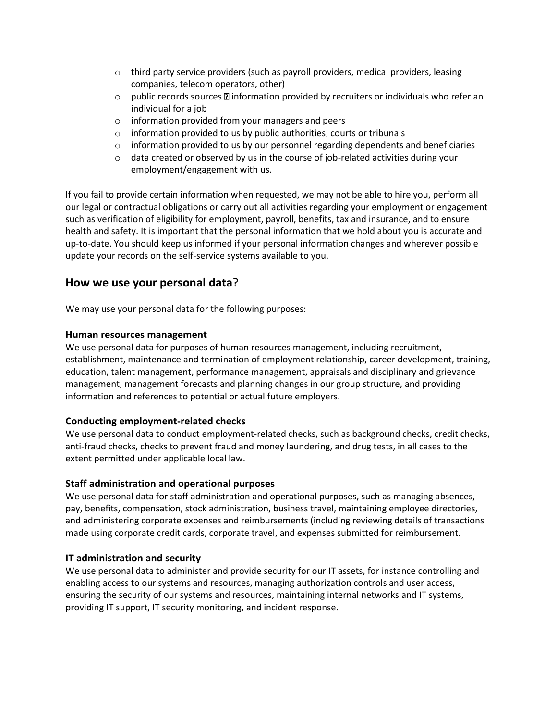- $\circ$  third party service providers (such as payroll providers, medical providers, leasing companies, telecom operators, other)
- $\circ$  public records sources  $\mathbb B$  information provided by recruiters or individuals who refer an individual for a job
- o information provided from your managers and peers
- $\circ$  information provided to us by public authorities, courts or tribunals
- $\circ$  information provided to us by our personnel regarding dependents and beneficiaries
- $\circ$  data created or observed by us in the course of job-related activities during your employment/engagement with us.

If you fail to provide certain information when requested, we may not be able to hire you, perform all our legal or contractual obligations or carry out all activities regarding your employment or engagement such as verification of eligibility for employment, payroll, benefits, tax and insurance, and to ensure health and safety. It is important that the personal information that we hold about you is accurate and up-to-date. You should keep us informed if your personal information changes and wherever possible update your records on the self-service systems available to you.

### **How we use your personal data**?

We may use your personal data for the following purposes:

#### **Human resources management**

We use personal data for purposes of human resources management, including recruitment, establishment, maintenance and termination of employment relationship, career development, training, education, talent management, performance management, appraisals and disciplinary and grievance management, management forecasts and planning changes in our group structure, and providing information and references to potential or actual future employers.

#### **Conducting employment-related checks**

We use personal data to conduct employment-related checks, such as background checks, credit checks, anti-fraud checks, checks to prevent fraud and money laundering, and drug tests, in all cases to the extent permitted under applicable local law.

#### **Staff administration and operational purposes**

We use personal data for staff administration and operational purposes, such as managing absences, pay, benefits, compensation, stock administration, business travel, maintaining employee directories, and administering corporate expenses and reimbursements (including reviewing details of transactions made using corporate credit cards, corporate travel, and expenses submitted for reimbursement.

#### **IT administration and security**

We use personal data to administer and provide security for our IT assets, for instance controlling and enabling access to our systems and resources, managing authorization controls and user access, ensuring the security of our systems and resources, maintaining internal networks and IT systems, providing IT support, IT security monitoring, and incident response.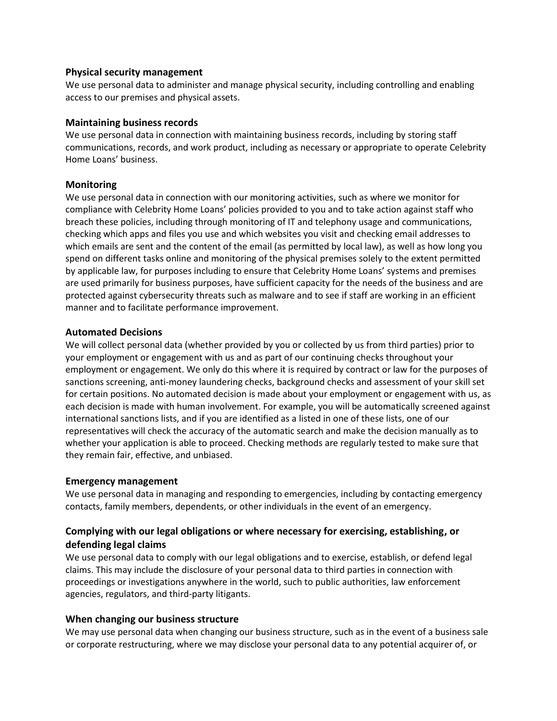#### **Physical security management**

We use personal data to administer and manage physical security, including controlling and enabling access to our premises and physical assets.

#### **Maintaining business records**

We use personal data in connection with maintaining business records, including by storing staff communications, records, and work product, including as necessary or appropriate to operate Celebrity Home Loans' business.

#### **Monitoring**

We use personal data in connection with our monitoring activities, such as where we monitor for compliance with Celebrity Home Loans' policies provided to you and to take action against staff who breach these policies, including through monitoring of IT and telephony usage and communications, checking which apps and files you use and which websites you visit and checking email addresses to which emails are sent and the content of the email (as permitted by local law), as well as how long you spend on different tasks online and monitoring of the physical premises solely to the extent permitted by applicable law, for purposes including to ensure that Celebrity Home Loans' systems and premises are used primarily for business purposes, have sufficient capacity for the needs of the business and are protected against cybersecurity threats such as malware and to see if staff are working in an efficient manner and to facilitate performance improvement.

#### **Automated Decisions**

We will collect personal data (whether provided by you or collected by us from third parties) prior to your employment or engagement with us and as part of our continuing checks throughout your employment or engagement. We only do this where it is required by contract or law for the purposes of sanctions screening, anti-money laundering checks, background checks and assessment of your skill set for certain positions. No automated decision is made about your employment or engagement with us, as each decision is made with human involvement. For example, you will be automatically screened against international sanctions lists, and if you are identified as a listed in one of these lists, one of our representatives will check the accuracy of the automatic search and make the decision manually as to whether your application is able to proceed. Checking methods are regularly tested to make sure that they remain fair, effective, and unbiased.

#### **Emergency management**

We use personal data in managing and responding to emergencies, including by contacting emergency contacts, family members, dependents, or other individuals in the event of an emergency.

### **Complying with our legal obligations or where necessary for exercising, establishing, or defending legal claims**

We use personal data to comply with our legal obligations and to exercise, establish, or defend legal claims. This may include the disclosure of your personal data to third parties in connection with proceedings or investigations anywhere in the world, such to public authorities, law enforcement agencies, regulators, and third-party litigants.

#### **When changing our business structure**

We may use personal data when changing our business structure, such as in the event of a business sale or corporate restructuring, where we may disclose your personal data to any potential acquirer of, or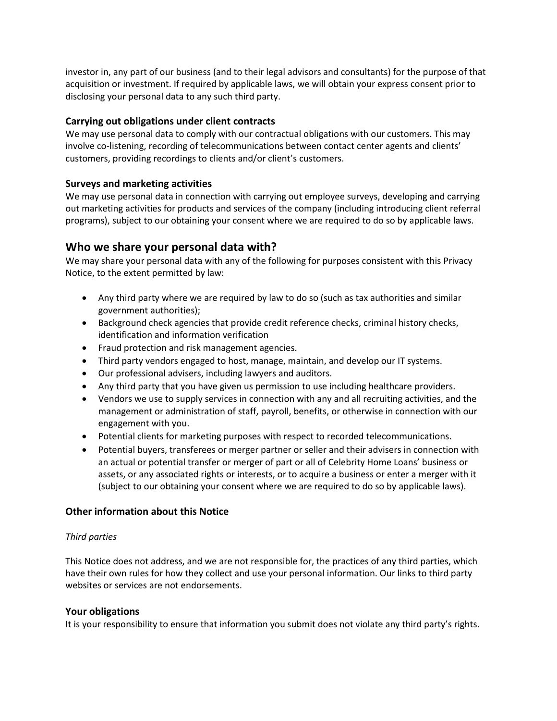investor in, any part of our business (and to their legal advisors and consultants) for the purpose of that acquisition or investment. If required by applicable laws, we will obtain your express consent prior to disclosing your personal data to any such third party.

### **Carrying out obligations under client contracts**

We may use personal data to comply with our contractual obligations with our customers. This may involve co-listening, recording of telecommunications between contact center agents and clients' customers, providing recordings to clients and/or client's customers.

#### **Surveys and marketing activities**

We may use personal data in connection with carrying out employee surveys, developing and carrying out marketing activities for products and services of the company (including introducing client referral programs), subject to our obtaining your consent where we are required to do so by applicable laws.

### **Who we share your personal data with?**

We may share your personal data with any of the following for purposes consistent with this Privacy Notice, to the extent permitted by law:

- Any third party where we are required by law to do so (such as tax authorities and similar government authorities);
- Background check agencies that provide credit reference checks, criminal history checks, identification and information verification
- Fraud protection and risk management agencies.
- Third party vendors engaged to host, manage, maintain, and develop our IT systems.
- Our professional advisers, including lawyers and auditors.
- Any third party that you have given us permission to use including healthcare providers.
- Vendors we use to supply services in connection with any and all recruiting activities, and the management or administration of staff, payroll, benefits, or otherwise in connection with our engagement with you.
- Potential clients for marketing purposes with respect to recorded telecommunications.
- Potential buyers, transferees or merger partner or seller and their advisers in connection with an actual or potential transfer or merger of part or all of Celebrity Home Loans' business or assets, or any associated rights or interests, or to acquire a business or enter a merger with it (subject to our obtaining your consent where we are required to do so by applicable laws).

### **Other information about this Notice**

#### *Third parties*

This Notice does not address, and we are not responsible for, the practices of any third parties, which have their own rules for how they collect and use your personal information. Our links to third party websites or services are not endorsements.

#### **Your obligations**

It is your responsibility to ensure that information you submit does not violate any third party's rights.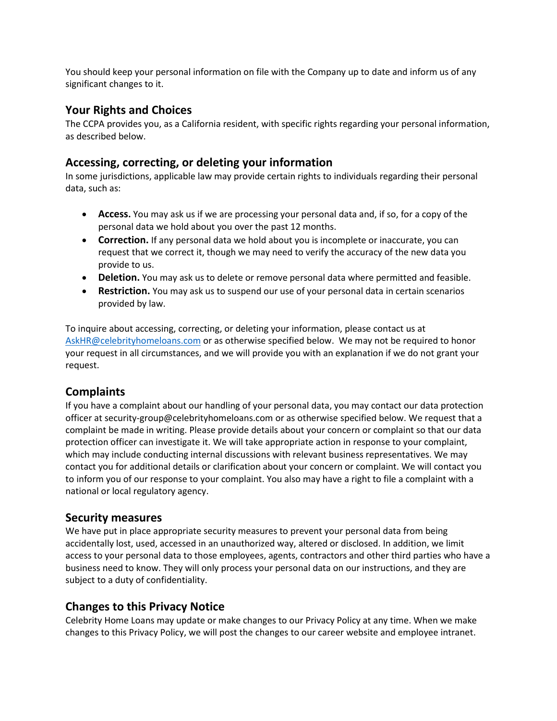You should keep your personal information on file with the Company up to date and inform us of any significant changes to it.

## **Your Rights and Choices**

The CCPA provides you, as a California resident, with specific rights regarding your personal information, as described below.

### **Accessing, correcting, or deleting your information**

In some jurisdictions, applicable law may provide certain rights to individuals regarding their personal data, such as:

- **Access.** You may ask us if we are processing your personal data and, if so, for a copy of the personal data we hold about you over the past 12 months.
- **Correction.** If any personal data we hold about you is incomplete or inaccurate, you can request that we correct it, though we may need to verify the accuracy of the new data you provide to us.
- **Deletion.** You may ask us to delete or remove personal data where permitted and feasible.
- **Restriction.** You may ask us to suspend our use of your personal data in certain scenarios provided by law.

To inquire about accessing, correcting, or deleting your information, please contact us at [AskHR@celebrityhomeloans.com](mailto:AskHR@celebrityhomeloans.com) or as otherwise specified below. We may not be required to honor your request in all circumstances, and we will provide you with an explanation if we do not grant your request.

## **Complaints**

If you have a complaint about our handling of your personal data, you may contact our data protection officer at security-group@celebrityhomeloans.com or as otherwise specified below. We request that a complaint be made in writing. Please provide details about your concern or complaint so that our data protection officer can investigate it. We will take appropriate action in response to your complaint, which may include conducting internal discussions with relevant business representatives. We may contact you for additional details or clarification about your concern or complaint. We will contact you to inform you of our response to your complaint. You also may have a right to file a complaint with a national or local regulatory agency.

### **Security measures**

We have put in place appropriate security measures to prevent your personal data from being accidentally lost, used, accessed in an unauthorized way, altered or disclosed. In addition, we limit access to your personal data to those employees, agents, contractors and other third parties who have a business need to know. They will only process your personal data on our instructions, and they are subject to a duty of confidentiality.

## **Changes to this Privacy Notice**

Celebrity Home Loans may update or make changes to our Privacy Policy at any time. When we make changes to this Privacy Policy, we will post the changes to our career website and employee intranet.